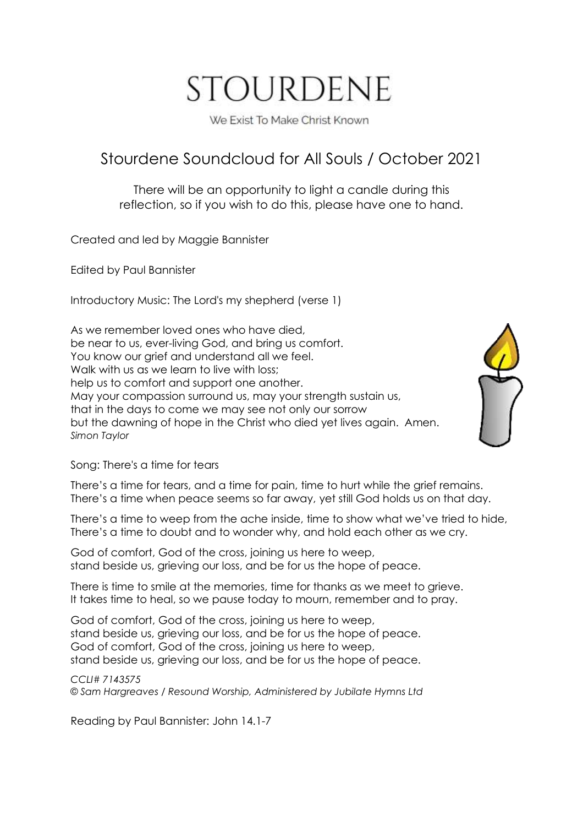# STOURDENE

We Exist To Make Christ Known

# Stourdene Soundcloud for All Souls / October 2021

There will be an opportunity to light a candle during this reflection, so if you wish to do this, please have one to hand.

Created and led by Maggie Bannister

Edited by Paul Bannister

Introductory Music: The Lord's my shepherd (verse 1)

As we remember loved ones who have died, be near to us, ever-living God, and bring us comfort. You know our grief and understand all we feel. Walk with us as we learn to live with loss; help us to comfort and support one another. May your compassion surround us, may your strength sustain us, that in the days to come we may see not only our sorrow but the dawning of hope in the Christ who died yet lives again. Amen. *Simon Taylor*



Song: There's a time for tears

There's a time for tears, and a time for pain, time to hurt while the grief remains. There's a time when peace seems so far away, yet still God holds us on that day.

There's a time to weep from the ache inside, time to show what we've tried to hide, There's a time to doubt and to wonder why, and hold each other as we cry.

God of comfort, God of the cross, joining us here to weep, stand beside us, grieving our loss, and be for us the hope of peace.

There is time to smile at the memories, time for thanks as we meet to grieve. It takes time to heal, so we pause today to mourn, remember and to pray.

God of comfort, God of the cross, joining us here to weep, stand beside us, grieving our loss, and be for us the hope of peace. God of comfort, God of the cross, joining us here to weep, stand beside us, grieving our loss, and be for us the hope of peace.

*CCLI# 7143575*

*© Sam Hargreaves / Resound Worship, Administered by Jubilate Hymns Ltd* 

Reading by Paul Bannister: John 14.1-7